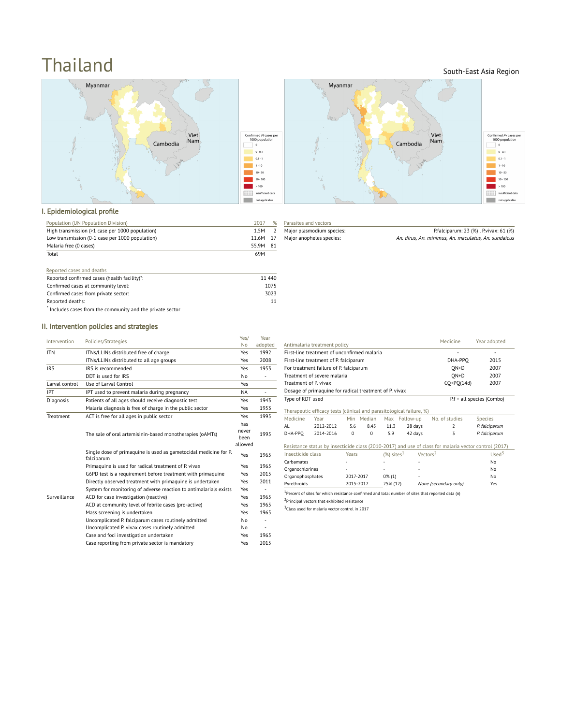# **Thailand** South-East Asia Region





### I. Epidemiological profile

| Population (UN Population Division)             | 2017     |  |
|-------------------------------------------------|----------|--|
| High transmission (>1 case per 1000 population) | 1 5M     |  |
| Low transmission (0-1 case per 1000 population) | 11.6M 17 |  |
| Malaria free (0 cases)                          | 55.9M 81 |  |
| Total                                           | 69M      |  |

| Reported cases and deaths                                  |        |
|------------------------------------------------------------|--------|
| Reported confirmed cases (health facility)*:               | 11 440 |
| Confirmed cases at community level:                        | 1075   |
| Confirmed cases from private sector:                       | 3023   |
| Reported deaths:                                           |        |
| * Includes cases from the community and the private sector |        |

| Parasites and vectors     |
|---------------------------|
| Major plasmodium species: |
| Major anopheles species:  |

 $\sqrt{2}$ 

P.falciparum: 23 (%), P.vivax: 61 (%) An. dirus, An. minimus, An. maculatus, An. sundaicus

## II. Intervention policies and strategies

| Intervention     | Policies/Strategies                                                            | Yes/                            | Year                     |
|------------------|--------------------------------------------------------------------------------|---------------------------------|--------------------------|
|                  |                                                                                | No                              | adopted                  |
| <b>ITN</b>       | ITNs/LLINs distributed free of charge                                          | Yes                             | 1992                     |
|                  | ITNs/LLINs distributed to all age groups                                       | Yes                             | 2008                     |
| <b>IRS</b>       | IRS is recommended.                                                            | Yes                             | 1953                     |
|                  | DDT is used for IRS                                                            | No                              |                          |
| Larval control   | Use of Larval Control                                                          | Yes                             |                          |
| <b>IPT</b>       | IPT used to prevent malaria during pregnancy                                   | <b>NA</b>                       | L.                       |
| Diagnosis        | Patients of all ages should receive diagnostic test                            | Yes                             | 1943                     |
|                  | Malaria diagnosis is free of charge in the public sector                       | Yes                             | 1953                     |
| <b>Treatment</b> | ACT is free for all ages in public sector                                      | Yes                             | 1995                     |
|                  | The sale of oral artemisinin-based monotherapies (oAMTs)                       | has<br>never<br>been<br>allowed | 1995                     |
|                  | Single dose of primaquine is used as gametocidal medicine for P.<br>falciparum | Yes                             | 1965                     |
|                  | Primaguine is used for radical treatment of P. vivax                           | Yes                             | 1965                     |
|                  | G6PD test is a requirement before treatment with primaguine                    | Yes                             | 2015                     |
|                  | Directly observed treatment with primaguine is undertaken                      | Yes                             | 2011                     |
|                  | System for monitoring of adverse reaction to antimalarials exists              | Yes                             |                          |
| Surveillance     | ACD for case investigation (reactive)                                          | Yes                             | 1965                     |
|                  | ACD at community level of febrile cases (pro-active)                           | Yes                             | 1965                     |
|                  | Mass screening is undertaken                                                   | Yes                             | 1965                     |
|                  | Uncomplicated P. falciparum cases routinely admitted                           | No                              |                          |
|                  | Uncomplicated P. vivax cases routinely admitted                                | No                              | $\overline{\phantom{m}}$ |
|                  | Case and foci investigation undertaken                                         | Yes                             | 1965                     |
|                  | Case reporting from private sector is mandatory                                | Yes                             | 2015                     |

| Antimalaria treatment policy                                                   |                                                                      |           |            |           |                           | Medicine                                                                                                      | Year adopted   |
|--------------------------------------------------------------------------------|----------------------------------------------------------------------|-----------|------------|-----------|---------------------------|---------------------------------------------------------------------------------------------------------------|----------------|
|                                                                                | First-line treatment of unconfirmed malaria                          |           |            |           |                           | ٠                                                                                                             | ٠              |
|                                                                                | First-line treatment of P. falciparum                                |           |            |           |                           | DHA-PPO                                                                                                       | 2015           |
| For treatment failure of P. falciparum                                         |                                                                      |           |            |           | $ON+D$                    | 2007                                                                                                          |                |
| Treatment of severe malaria                                                    |                                                                      |           |            | $ON+D$    | 2007                      |                                                                                                               |                |
| Treatment of P. vivax                                                          |                                                                      |           |            |           |                           | $CO+PO(14d)$                                                                                                  | 2007           |
|                                                                                | Dosage of primaguine for radical treatment of P. vivax               |           |            |           |                           |                                                                                                               |                |
| Type of RDT used                                                               |                                                                      |           |            |           | P.f + all species (Combo) |                                                                                                               |                |
|                                                                                | Therapeutic efficacy tests (clinical and parasitological failure, %) |           |            |           |                           |                                                                                                               |                |
| Medicine                                                                       | Year                                                                 |           | Min Median |           | Max Follow-up             | No. of studies                                                                                                | <b>Species</b> |
| AI                                                                             | 2012-2012                                                            | 5.6       | 8.45       | 11.3      | 28 days                   | $\overline{\phantom{a}}$                                                                                      | P. falciparum  |
| DHA-PPO                                                                        | 2014-2016                                                            | $\Omega$  | 0          | 5.9       | 42 days                   | 3                                                                                                             | P. falciparum  |
|                                                                                |                                                                      |           |            |           |                           | Resistance status by insecticide class (2010-2017) and use of class for malaria vector control (2017)         |                |
| $(%)$ sites <sup>1</sup><br>Vectors <sup>2</sup><br>Insecticide class<br>Years |                                                                      |           | $Used^3$   |           |                           |                                                                                                               |                |
| Carbamates                                                                     |                                                                      |           |            |           |                           |                                                                                                               | No             |
| Organochlorines                                                                |                                                                      |           | No         |           |                           |                                                                                                               |                |
| Organophosphates                                                               |                                                                      | 2017-2017 |            | $0\%$ (1) |                           |                                                                                                               | No             |
| Pyrethroids                                                                    |                                                                      | 2015-2017 |            | 25% (12)  |                           | None (secondary only)                                                                                         | Yes            |
|                                                                                |                                                                      |           |            |           |                           | <sup>1</sup> Percent of sites for which resistance confirmed and total number of sites that reported data (n) |                |
|                                                                                | <sup>2</sup> Principal vectors that exhibited resistance             |           |            |           |                           |                                                                                                               |                |

<sup>3</sup>Class used for malaria vector control in 2017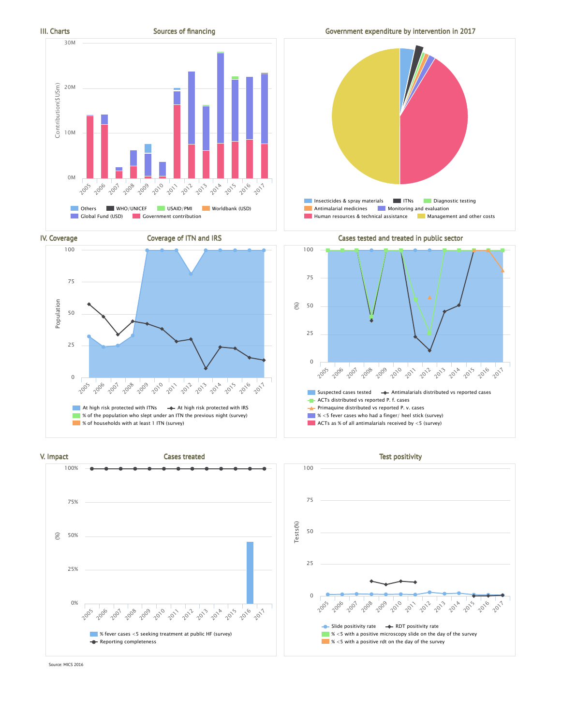







IV. Coverage Coverage of ITN and IRS Coverage of ITN and IRS Cases tested and treated in public sector